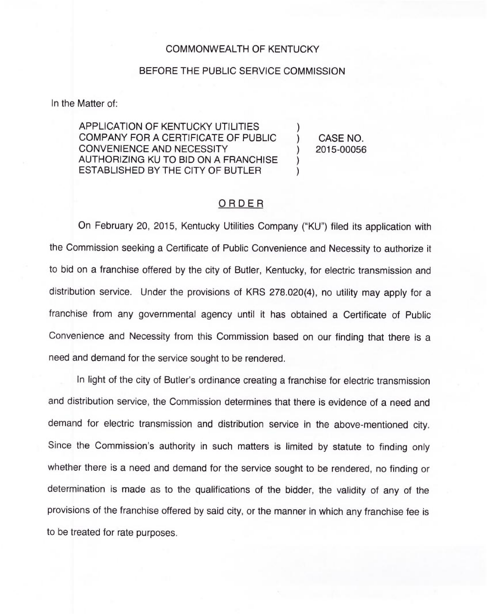## COMMONWEALTH OF KENTUCKY

## BEFORE THE PUBLIC SERVICE COMMISSION

In the Matter of:

APPLICATION OF KENTUCKY UTILITIES COMPANY FOR A CERTIFICATE OF PUBLIC CONVENIENCE AND NECESSITY AUTHORIZING KU TO BID ON A FRANCHISE ESTABLISHED BY THE CITY OF BUTLER

) CASE NO. ) 2015-00056

)

) )

## ORDER

On February 20, 2015, Kentucky Utilities Company ("KU") filed its application with the Commission seeking a Certificate of Public Convenience and Necessity to authorize it to bid on a franchise offered by the city of Butler, Kentucky, for electric transmission and distribution service. Under the provisions of KRS 278.020(4), no utility may apply for a franchise from any governmental agency until it has obtained a Certificate of Public Convenience and Necessity from this Commission based on our finding that there is a need and demand for the service sought to be rendered.

In light of the city of Butler's ordinance creating a franchise for electric transmission and distribution service, the Commission determines that there is evidence of a need and demand for electric transmission and distribution service in the above-mentioned city. Since the Commission's authority in such matters is limited by statute to finding only whether there is a need and demand for the service sought to be rendered, no finding or determination is made as to the qualifications of the bidder, the validity of any of the provisions of the franchise offered by said city, or the manner in which any franchise fee is to be treated for rate purposes.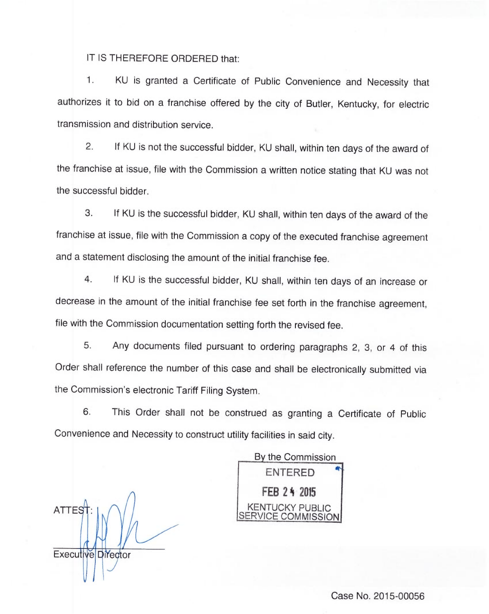IT IS THEREFORE ORDERED that:

1. KU is granted a Certificate of Public Convenience and Necessity that authorizes it to bid on a franchise offered by the city of Butler, Kentucky, for electric transmission and distribution service.

2. If KU is not the successful bidder, KU shall, within ten days of the award of the franchise at issue, file with the Commission a written notice stating that KU was not the successful bidder.

3. If KU is the successful bidder, KU shall, within ten days of the award of the franchise at issue, file with the Commission a copy of the executed franchise agreement and a statement disclosing the amount of the initial franchise fee.

4. If KU is the successful bidder, KU shall, within ten days of an increase or decrease in the amount of the initial franchise fee set forth in the franchise agreement, file with the Commission documentation setting forth the revised fee.

5. Any documents filed pursuant to ordering paragraphs 2, 3, or <sup>4</sup> of this Order shall reference the number of this case and shall be electronically submitted via the Commission's electronic Tariff Filing System.

6. This Order shall not be construed as granting a Certificate of Public Convenience and Necessity to construct utility facilities in said city.

**ATTES** Executive Director

By the Commission ENTERED FEB 24 2015 KENTUCKY PUBL RVICE COMMISSION

Case No. 2015-00056